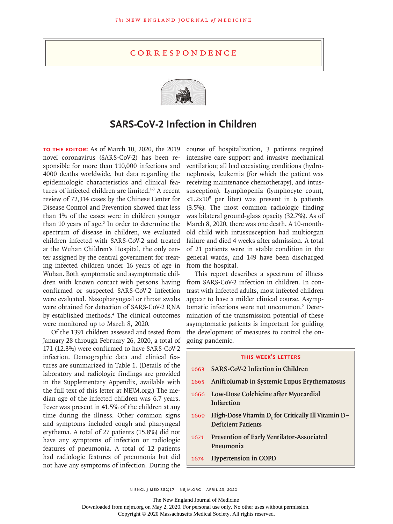## **CORRESPONDENCE**



## **SARS-CoV-2 Infection in Children**

**To the Editor:** As of March 10, 2020, the 2019 novel coronavirus (SARS-CoV-2) has been responsible for more than 110,000 infections and 4000 deaths worldwide, but data regarding the epidemiologic characteristics and clinical features of infected children are limited.<sup>1-3</sup> A recent review of 72,314 cases by the Chinese Center for Disease Control and Prevention showed that less than 1% of the cases were in children younger than 10 years of age.<sup>2</sup> In order to determine the spectrum of disease in children, we evaluated children infected with SARS-CoV-2 and treated at the Wuhan Children's Hospital, the only center assigned by the central government for treating infected children under 16 years of age in Wuhan. Both symptomatic and asymptomatic children with known contact with persons having confirmed or suspected SARS-CoV-2 infection were evaluated. Nasopharyngeal or throat swabs were obtained for detection of SARS-CoV-2 RNA by established methods.4 The clinical outcomes were monitored up to March 8, 2020.

Of the 1391 children assessed and tested from January 28 through February 26, 2020, a total of 171 (12.3%) were confirmed to have SARS-CoV-2 infection. Demographic data and clinical features are summarized in Table 1. (Details of the laboratory and radiologic findings are provided in the Supplementary Appendix, available with the full text of this letter at NEJM.org.) The median age of the infected children was 6.7 years. Fever was present in 41.5% of the children at any time during the illness. Other common signs and symptoms included cough and pharyngeal erythema. A total of 27 patients (15.8%) did not have any symptoms of infection or radiologic features of pneumonia. A total of 12 patients had radiologic features of pneumonia but did not have any symptoms of infection. During the course of hospitalization, 3 patients required intensive care support and invasive mechanical ventilation; all had coexisting conditions (hydronephrosis, leukemia [for which the patient was receiving maintenance chemotherapy], and intussusception). Lymphopenia (lymphocyte count, <1.2×109 per liter) was present in 6 patients (3.5%). The most common radiologic finding was bilateral ground-glass opacity (32.7%). As of March 8, 2020, there was one death. A 10-monthold child with intussusception had multiorgan failure and died 4 weeks after admission. A total of 21 patients were in stable condition in the general wards, and 149 have been discharged from the hospital.

This report describes a spectrum of illness from SARS-CoV-2 infection in children. In contrast with infected adults, most infected children appear to have a milder clinical course. Asymptomatic infections were not uncommon.<sup>2</sup> Determination of the transmission potential of these asymptomatic patients is important for guiding the development of measures to control the ongoing pandemic.

## **this week's letters**

 **SARS-CoV-2 Infection in Children Anifrolumab in Systemic Lupus Erythematosus Low-Dose Colchicine after Myocardial Infarction High-Dose Vitamin D<sub>3</sub> for Critically Ill Vitamin D-Deficient Patients Prevention of Early Ventilator-Associated Pneumonia Hypertension in COPD**

n engl j med 382;17 nejm.org April 23, 2020

The New England Journal of Medicine

Downloaded from nejm.org on May 2, 2020. For personal use only. No other uses without permission.

Copyright © 2020 Massachusetts Medical Society. All rights reserved.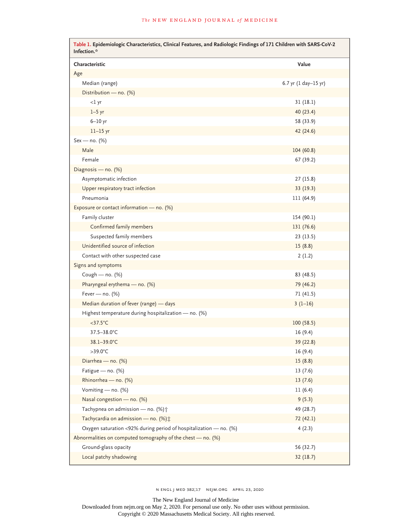| Characteristic                                                    | Value                |
|-------------------------------------------------------------------|----------------------|
| Age                                                               |                      |
| Median (range)                                                    | 6.7 yr (1 day-15 yr) |
| Distribution - no. (%)                                            |                      |
| <1 yr                                                             | 31(18.1)             |
| $1-5$ yr                                                          | 40(23.4)             |
| $6-10$ yr                                                         | 58 (33.9)            |
| $11-15$ yr                                                        | 42 (24.6)            |
| $Sex - no. (%)$                                                   |                      |
| Male                                                              | 104 (60.8)           |
| Female                                                            |                      |
|                                                                   | 67 (39.2)            |
| Diagnosis - no. (%)                                               |                      |
| Asymptomatic infection                                            | 27(15.8)             |
| Upper respiratory tract infection                                 | 33 (19.3)            |
| Pneumonia                                                         | 111 (64.9)           |
| Exposure or contact information - no. (%)                         |                      |
| Family cluster                                                    | 154 (90.1)           |
| Confirmed family members                                          | 131 (76.6)           |
| Suspected family members                                          | 23(13.5)             |
| Unidentified source of infection                                  | 15(8.8)              |
| Contact with other suspected case                                 | 2(1.2)               |
| Signs and symptoms                                                |                      |
| Cough - $no.$ (%)                                                 | 83 (48.5)            |
| Pharyngeal erythema - no. (%)                                     | 79 (46.2)            |
| Fever - no. $(\%)$                                                | 71 (41.5)            |
| Median duration of fever (range) - days                           | $3(1-16)$            |
| Highest temperature during hospitalization - no. (%)              |                      |
| $<$ 37.5 $°C$                                                     | 100(58.5)            |
| 37.5-38.0°C                                                       | 16(9.4)              |
| 38.1-39.0°C                                                       | 39 (22.8)            |
| $>39.0^{\circ}$ C                                                 | 16 (9.4)             |
| Diarrhea - no. (%)                                                | 15(8.8)              |
| Fatigue - no. (%)                                                 | 13(7.6)              |
| Rhinorrhea - no. (%)                                              | 13(7.6)              |
| Vomiting - no. (%)                                                | 11(6.4)              |
| Nasal congestion - no. (%)                                        | 9(5.3)               |
| Tachypnea on admission - no. (%) +                                | 49 (28.7)            |
| Tachycardia on admission - no. (%) :                              | 72 (42.1)            |
| Oxygen saturation <92% during period of hospitalization - no. (%) | 4(2.3)               |
| Abnormalities on computed tomography of the chest - no. (%)       |                      |
| Ground-glass opacity                                              | 56 (32.7)            |
| Local patchy shadowing                                            | 32(18.7)             |

n engl j med 382;17 nejm.org April 23, 2020

The New England Journal of Medicine

Downloaded from nejm.org on May 2, 2020. For personal use only. No other uses without permission. Copyright © 2020 Massachusetts Medical Society. All rights reserved.